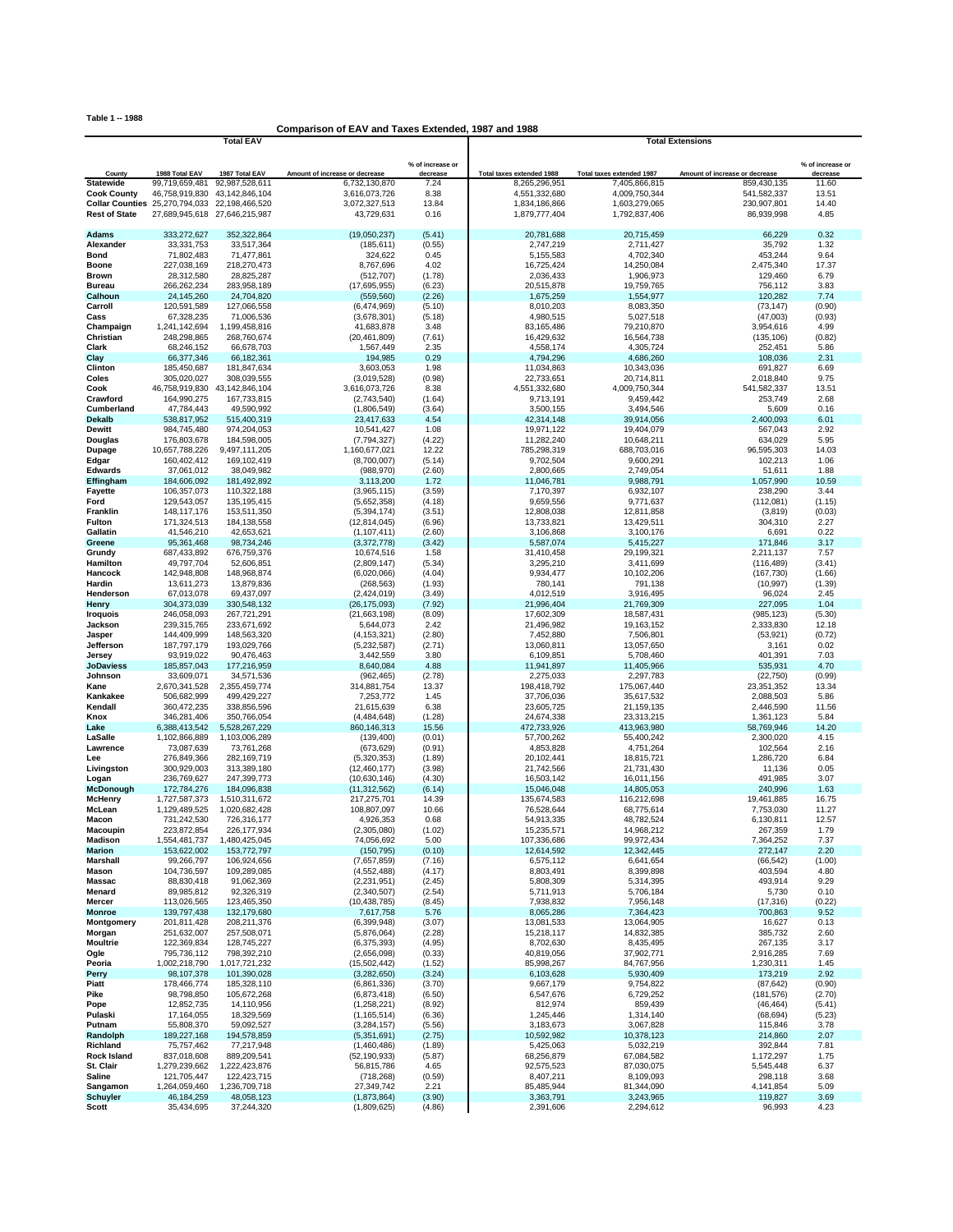**Table 1 -- 1988**

## **Comparison of EAV and Taxes Extended, 1987 and 1988**

|                             |                                               | <b>Total EAV</b>              |                                |                  | <b>Total Extensions</b>   |                           |                                |                              |
|-----------------------------|-----------------------------------------------|-------------------------------|--------------------------------|------------------|---------------------------|---------------------------|--------------------------------|------------------------------|
|                             |                                               |                               |                                | % of increase or |                           |                           |                                |                              |
| County                      | 1988 Total EAV                                | 1987 Total EAV                | Amount of increase or decrease | decrease         | Total taxes extended 1988 | Total taxes extended 1987 | Amount of increase or decrease | % of increase or<br>decrease |
| <b>Statewide</b>            | 99,719,659,481                                | 92,987,528,611                | 6,732,130,870                  | 7.24             | 8,265,296,951             | 7.405.866.815             | 859,430,135                    | 11.60                        |
| <b>Cook County</b>          | 46,758,919,830                                | 43,142,846,104                | 3,616,073,726                  | 8.38             | 4,551,332,680             | 4,009,750,344             | 541,582,337                    | 13.51                        |
|                             | Collar Counties 25,270,794,033 22,198,466,520 |                               | 3,072,327,513                  | 13.84            | 1,834,186,866             | 1,603,279,065             | 230,907,801                    | 14.40                        |
| <b>Rest of State</b>        |                                               | 27,689,945,618 27,646,215,987 | 43,729,631                     | 0.16             | 1,879,777,404             | 1,792,837,406             | 86,939,998                     | 4.85                         |
| <b>Adams</b>                | 333,272,627                                   | 352,322,864                   | (19,050,237)                   | (5.41)           | 20,781,688                | 20,715,459                | 66,229                         | 0.32                         |
| Alexander                   | 33,331,753                                    | 33,517,364                    | (185, 611)                     | (0.55)           | 2,747,219                 | 2,711,427                 | 35,792                         | 1.32                         |
| <b>Bond</b>                 | 71,802,483                                    | 71,477,861                    | 324,622                        | 0.45             | 5,155,583                 | 4,702,340                 | 453,244                        | 9.64                         |
| <b>Boone</b>                | 227,038,169                                   | 218,270,473                   | 8,767,696                      | 4.02             | 16,725,424                | 14,250,084                | 2,475,340                      | 17.37                        |
| Brown                       | 28,312,580                                    | 28,825,287                    | (512, 707)                     | (1.78)           | 2,036,433                 | 1,906,973                 | 129,460                        | 6.79                         |
| <b>Bureau</b>               | 266,262,234                                   | 283,958,189                   | (17,695,955)                   | (6.23)           | 20,515,878                | 19,759,765                | 756,112                        | 3.83                         |
| Calhoun                     | 24,145,260                                    | 24,704,820                    | (559.560)                      | (2.26)           | 1.675.259                 | 1,554,977                 | 120,282                        | 7.74                         |
| Carroll                     | 120,591,589                                   | 127,066,558                   | (6,474,969)                    | (5.10)           | 8,010,203                 | 8,083,350                 | (73, 147)                      | (0.90)                       |
| Cass                        | 67,328,235                                    | 71,006,536                    | (3,678,301)<br>41.683.878      | (5.18)           | 4,980,515                 | 5,027,518                 | (47,003)                       | (0.93)                       |
| Champaign<br>Christian      | 1,241,142,694<br>248,298,865                  | 1,199,458,816<br>268,760,674  | (20, 461, 809)                 | 3.48<br>(7.61)   | 83,165,486<br>16,429,632  | 79,210,870<br>16,564,738  | 3,954,616<br>(135, 106)        | 4.99<br>(0.82)               |
| Clark                       | 68,246,152                                    | 66,678,703                    | 1,567,449                      | 2.35             | 4,558,174                 | 4,305,724                 | 252,451                        | 5.86                         |
| Clay                        | 66,377,346                                    | 66.182.361                    | 194,985                        | 0.29             | 4,794,296                 | 4,686,260                 | 108,036                        | 2.31                         |
| Clinton                     | 185,450,687                                   | 181,847,634                   | 3,603,053                      | 1.98             | 11,034,863                | 10,343,036                | 691,827                        | 6.69                         |
| Coles                       | 305,020,027                                   | 308,039,555                   | (3,019,528)                    | (0.98)           | 22,733,651                | 20,714,811                | 2,018,840                      | 9.75                         |
| Cook                        | 46,758,919,830                                | 43, 142, 846, 104             | 3,616,073,726                  | 8.38             | 4,551,332,680             | 4,009,750,344             | 541,582,337                    | 13.51                        |
| Crawford                    | 164,990,275                                   | 167,733,815                   | (2,743,540)                    | (1.64)           | 9,713,191                 | 9,459,442                 | 253,749                        | 2.68                         |
| Cumberland                  | 47,784,443                                    | 49,590,992                    | (1,806,549)                    | (3.64)           | 3,500,155                 | 3,494,546                 | 5,609                          | 0.16                         |
| <b>Dekalb</b>               | 538,817,952                                   | 515,400,319                   | 23,417,633                     | 4.54             | 42,314,148                | 39,914,056                | 2,400,093                      | 6.01                         |
| Dewitt                      | 984,745,480                                   | 974,204,053                   | 10,541,427                     | 1.08             | 19,971,122                | 19,404,079                | 567,043                        | 2.92                         |
| Douglas<br>Dupage           | 176,803,678<br>10,657,788,226                 | 184,598,005<br>9,497,111,205  | (7, 794, 327)<br>1,160,677,021 | (4.22)<br>12.22  | 11,282,240<br>785.298.319 | 10,648,211<br>688,703,016 | 634,029<br>96.595.303          | 5.95<br>14.03                |
| Edgar                       | 160,402,412                                   | 169,102,419                   | (8,700,007)                    | (5.14)           | 9,702,504                 | 9,600,291                 | 102,213                        | 1.06                         |
| <b>Edwards</b>              | 37,061,012                                    | 38,049,982                    | (988, 970)                     | (2.60)           | 2,800,665                 | 2,749,054                 | 51,611                         | 1.88                         |
| Effingham                   | 184,606,092                                   | 181,492,892                   | 3,113,200                      | 1.72             | 11,046,781                | 9,988,791                 | 1,057,990                      | 10.59                        |
| <b>Fayette</b>              | 106,357,073                                   | 110,322,188                   | (3,965,115)                    | (3.59)           | 7,170,397                 | 6,932,107                 | 238,290                        | 3.44                         |
| Ford                        | 129,543,057                                   | 135, 195, 415                 | (5.652.358)                    | (4.18)           | 9.659.556                 | 9,771,637                 | (112.081)                      | (1.15)                       |
| Franklin                    | 148,117,176                                   | 153,511,350                   | (5, 394, 174)                  | (3.51)           | 12,808,038                | 12,811,858                | (3,819)                        | (0.03)                       |
| Fulton                      | 171,324,513                                   | 184, 138, 558                 | (12, 814, 045)                 | (6.96)           | 13,733,821                | 13,429,511                | 304,310                        | 2.27                         |
| Gallatin                    | 41,546,210                                    | 42,653,621                    | (1, 107, 411)                  | (2.60)           | 3,106,868                 | 3,100,176                 | 6,691                          | 0.22                         |
| Greene                      | 95,361,468<br>687.433.892                     | 98,734,246                    | (3,372,778)<br>10.674.516      | (3.42)           | 5,587,074                 | 5,415,227                 | 171,846<br>2.211.137           | 3.17                         |
| Grundy<br>Hamilton          | 49,797,704                                    | 676,759,376<br>52,606,851     | (2,809,147)                    | 1.58<br>(5.34)   | 31,410,458<br>3,295,210   | 29,199,321<br>3,411,699   | (116, 489)                     | 7.57<br>(3.41)               |
| Hancock                     | 142,948,808                                   | 148,968,874                   | (6,020,066)                    | (4.04)           | 9,934,477                 | 10,102,206                | (167, 730)                     | (1.66)                       |
| Hardin                      | 13,611,273                                    | 13,879,836                    | (268, 563)                     | (1.93)           | 780,141                   | 791,138                   | (10, 997)                      | (1.39)                       |
| Henderson                   | 67,013,078                                    | 69,437,097                    | (2,424,019)                    | (3.49)           | 4,012,519                 | 3,916,495                 | 96,024                         | 2.45                         |
| Henry                       | 304,373,039                                   | 330,548,132                   | (26, 175, 093)                 | (7.92)           | 21,996,404                | 21,769,309                | 227,095                        | 1.04                         |
| <b>Iroquois</b>             | 246,058,093                                   | 267,721,291                   | (21,663,198)                   | (8.09)           | 17,602,309                | 18,587,431                | (985, 123)                     | (5.30)                       |
| Jackson                     | 239,315,765                                   | 233,671,692                   | 5,644,073                      | 2.42             | 21,496,982                | 19,163,152                | 2,333,830                      | 12.18                        |
| Jasper                      | 144,409,999                                   | 148,563,320                   | (4, 153, 321)                  | (2.80)           | 7,452,880                 | 7,506,801                 | (53, 921)                      | (0.72)                       |
| Jefferson                   | 187,797,179                                   | 193,029,766                   | (5,232,587)                    | (2.71)           | 13,060,811                | 13,057,650                | 3,161                          | 0.02                         |
| Jersey<br><b>JoDaviess</b>  | 93,919,022<br>185,857,043                     | 90,476,463<br>177,216,959     | 3,442,559<br>8,640,084         | 3.80<br>4.88     | 6,109,851<br>11,941,897   | 5,708,460<br>11,405,966   | 401,391<br>535,931             | 7.03<br>4.70                 |
| Johnson                     | 33,609,071                                    | 34,571,536                    | (962, 465)                     | (2.78)           | 2,275,033                 | 2,297,783                 | (22, 750)                      | (0.99)                       |
| Kane                        | 2,670,341,528                                 | 2,355,459,774                 | 314,881,754                    | 13.37            | 198,418,792               | 175,067,440               | 23,351,352                     | 13.34                        |
| Kankakee                    | 506,682,999                                   | 499,429,227                   | 7,253,772                      | 1.45             | 37,706,036                | 35,617,532                | 2,088,503                      | 5.86                         |
| Kendall                     | 360,472,235                                   | 338,856,596                   | 21,615,639                     | 6.38             | 23,605,725                | 21,159,135                | 2,446,590                      | 11.56                        |
| Knox                        | 346,281,406                                   | 350,766,054                   | (4,484,648)                    | (1.28)           | 24,674,338                | 23,313,215                | 1,361,123                      | 5.84                         |
| Lake                        | 6,388,413,542                                 | 5,528,267,229                 | 860,146,313                    | 15.56            | 472,733,926               | 413,963,980               | 58,769,946                     | 14.20                        |
| LaSalle                     | 1,102,866,889                                 | 1,103,006,289                 | (139, 400)                     | (0.01)           | 57,700,262                | 55,400,242                | 2,300,020                      | 4.15                         |
| Lawrence<br>Lee             | 73,087,639<br>276,849,366                     | 73,761,268<br>282.169.719     | (673, 629)<br>(5,320,353)      | (0.91)<br>(1.89) | 4,853,828<br>20,102,441   | 4,751,264<br>18,815,721   | 102,564<br>1,286,720           | 2.16<br>6.84                 |
| Livingston                  | 300,929,003                                   | 313,389,180                   | (12,460,177)                   | (3.98)           | 21,742,566                | 21,731,430                | 11,136                         | 0.05                         |
| Logan                       | 236,769,627                                   | 247,399,773                   | (10,630,146)                   | (4.30)           | 16,503,142                | 16,011,156                | 491,985                        | 3.07                         |
| <b>McDonough</b>            | 172,784,276                                   | 184,096,838                   | (11, 312, 562)                 | (6.14)           | 15,046,048                | 14,805,053                | 240,996                        | 1.63                         |
| <b>McHenry</b>              | 1,727,587,373                                 | 1,510,311,672                 | 217,275,701                    | 14.39            | 135,674,583               | 116,212,698               | 19,461,885                     | 16.75                        |
| McLean                      | 1,129,489,525                                 | 1,020,682,428                 | 108,807,097                    | 10.66            | 76,528,644                | 68,775,614                | 7,753,030                      | 11.27                        |
| Macon                       | 731,242,530                                   | 726,316,177                   | 4,926,353                      | 0.68             | 54,913,335                | 48,782,524                | 6,130,811                      | 12.57                        |
| Macoupin                    | 223,872,854                                   | 226, 177, 934                 | (2,305,080)                    | (1.02)           | 15,235,571                | 14,968,212                | 267,359                        | 1.79                         |
| Madison                     | 1,554,481,737                                 | 1,480,425,045                 | 74,056,692                     | 5.00             | 107,336,686               | 99,972,434                | 7,364,252                      | 7.37                         |
| <b>Marion</b>               | 153,622,002                                   | 153,772,797<br>106,924,656    | (150, 795)<br>(7,657,859)      | (0.10)           | 12,614,592                | 12,342,445                | 272,147                        | 2.20                         |
| Marshall<br>Mason           | 99,266,797<br>104,736,597                     | 109,289,085                   | (4,552,488)                    | (7.16)<br>(4.17) | 6,575,112<br>8,803,491    | 6,641,654<br>8,399,898    | (66, 542)<br>403,594           | (1.00)<br>4.80               |
| <b>Massac</b>               | 88,830,418                                    | 91,062,369                    | (2, 231, 951)                  | (2.45)           | 5,808,309                 | 5,314,395                 | 493,914                        | 9.29                         |
| Menard                      | 89,985,812                                    | 92,326,319                    | (2,340,507)                    | (2.54)           | 5,711,913                 | 5,706,184                 | 5,730                          | 0.10                         |
| Mercer                      | 113,026,565                                   | 123,465,350                   | (10, 438, 785)                 | (8.45)           | 7,938,832                 | 7,956,148                 | (17, 316)                      | (0.22)                       |
| <b>Monroe</b>               | 139,797,438                                   | 132,179,680                   | 7,617,758                      | 5.76             | 8,065,286                 | 7.364.423                 | 700,863                        | 9.52                         |
| Montgomery                  | 201,811,428                                   | 208,211,376                   | (6, 399, 948)                  | (3.07)           | 13,081,533                | 13,064,905                | 16,627                         | 0.13                         |
| Morgan                      | 251,632,007                                   | 257,508,071                   | (5,876,064)                    | (2.28)           | 15,218,117                | 14,832,385                | 385,732                        | 2.60                         |
| <b>Moultrie</b>             | 122,369,834                                   | 128,745,227                   | (6,375,393)                    | (4.95)           | 8,702,630                 | 8,435,495                 | 267,135                        | 3.17                         |
| Ogle                        | 795,736,112                                   | 798,392,210                   | (2,656,098)                    | (0.33)           | 40,819,056                | 37,902,771                | 2,916,285                      | 7.69                         |
| Peoria                      | 1,002,218,790                                 | 1,017,721,232                 | (15,502,442)                   | (1.52)           | 85,998,267                | 84,767,956                | 1,230,311                      | 1.45<br>2.92                 |
| Perry<br>Piatt              | 98,107,378<br>178,466,774                     | 101,390,028<br>185,328,110    | (3,282,650)<br>(6,861,336)     | (3.24)<br>(3.70) | 6,103,628<br>9,667,179    | 5,930,409<br>9,754,822    | 173,219<br>(87, 642)           | (0.90)                       |
| Pike                        | 98,798,850                                    | 105,672,268                   | (6,873,418)                    | (6.50)           | 6,547,676                 | 6,729,252                 | (181, 576)                     | (2.70)                       |
| Pope                        | 12,852,735                                    | 14,110,956                    | (1,258,221)                    | (8.92)           | 812,974                   | 859,439                   | (46, 464)                      | (5.41)                       |
| Pulaski                     | 17,164,055                                    | 18,329,569                    | (1, 165, 514)                  | (6.36)           | 1,245,446                 | 1,314,140                 | (68, 694)                      | (5.23)                       |
| Putnam                      | 55,808,370                                    | 59,092,527                    | (3, 284, 157)                  | (5.56)           | 3,183,673                 | 3,067,828                 | 115,846                        | 3.78                         |
| Randolph                    | 189,227,168                                   | 194,578,859                   | (5,351,691)                    | (2.75)           | 10,592,982                | 10,378,123                | 214,860                        | 2.07                         |
| Richland                    | 75,757,462                                    | 77,217,948                    | (1,460,486)                    | (1.89)           | 5,425,063                 | 5,032,219                 | 392,844                        | 7.81                         |
| <b>Rock Island</b>          | 837,018,608                                   | 889,209,541                   | (52, 190, 933)                 | (5.87)           | 68,256,879                | 67,084,582                | 1,172,297                      | 1.75                         |
| St. Clair                   | 1,279,239,662                                 | 1,222,423,876                 | 56,815,786                     | 4.65             | 92,575,523                | 87,030,075                | 5,545,448                      | 6.37                         |
| Saline                      | 121,705,447                                   | 122,423,715                   | (718, 268)                     | (0.59)           | 8,407,211                 | 8,109,093                 | 298,118                        | 3.68                         |
| Sangamon<br><b>Schuyler</b> | 1,264,059,460<br>46,184,259                   | 1,236,709,718<br>48,058,123   | 27,349,742<br>(1,873,864)      | 2.21<br>(3.90)   | 85,485,944<br>3,363,791   | 81,344,090<br>3,243,965   | 4,141,854<br>119,827           | 5.09<br>3.69                 |
| <b>Scott</b>                | 35,434,695                                    | 37,244,320                    | (1,809,625)                    | (4.86)           | 2,391,606                 | 2,294,612                 | 96,993                         | 4.23                         |
|                             |                                               |                               |                                |                  |                           |                           |                                |                              |